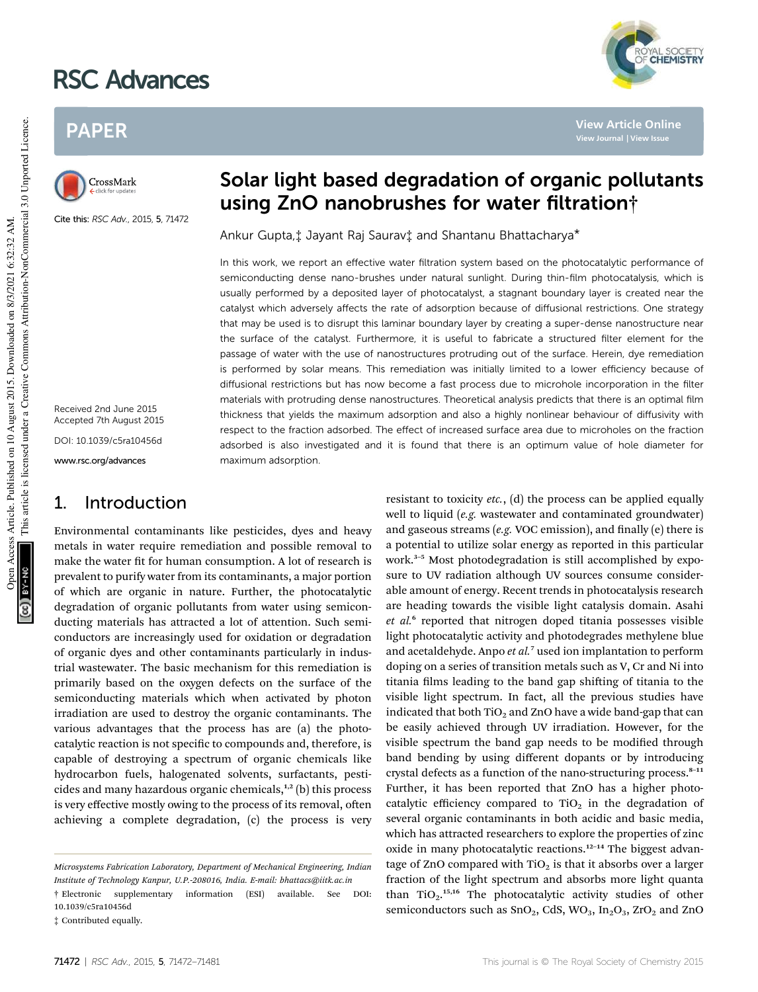# RSC Advances

## PAPER



Cite this: RSC Adv., 2015, 5, 71472

Received 2nd June 2015 Accepted 7th August 2015 DOI: 10.1039/c5ra10456d

www.rsc.org/advances

## 1. Introduction

Environmental contaminants like pesticides, dyes and heavy metals in water require remediation and possible removal to make the water fit for human consumption. A lot of research is prevalent to purify water from its contaminants, a major portion of which are organic in nature. Further, the photocatalytic degradation of organic pollutants from water using semiconducting materials has attracted a lot of attention. Such semiconductors are increasingly used for oxidation or degradation of organic dyes and other contaminants particularly in industrial wastewater. The basic mechanism for this remediation is primarily based on the oxygen defects on the surface of the semiconducting materials which when activated by photon irradiation are used to destroy the organic contaminants. The various advantages that the process has are (a) the photocatalytic reaction is not specific to compounds and, therefore, is capable of destroying a spectrum of organic chemicals like hydrocarbon fuels, halogenated solvents, surfactants, pesticides and many hazardous organic chemicals, $1,2$  (b) this process is very effective mostly owing to the process of its removal, often achieving a complete degradation, (c) the process is very



**View Article Online View Journal | View Issue**

YAL SOCIETY<br>**CHEMISTRY** 

Ankur Gupta,‡ Jayant Raj Saurav‡ and Shantanu Bhattacharya\*

In this work, we report an effective water filtration system based on the photocatalytic performance of semiconducting dense nano-brushes under natural sunlight. During thin-film photocatalysis, which is usually performed by a deposited layer of photocatalyst, a stagnant boundary layer is created near the catalyst which adversely affects the rate of adsorption because of diffusional restrictions. One strategy that may be used is to disrupt this laminar boundary layer by creating a super-dense nanostructure near the surface of the catalyst. Furthermore, it is useful to fabricate a structured filter element for the passage of water with the use of nanostructures protruding out of the surface. Herein, dye remediation is performed by solar means. This remediation was initially limited to a lower efficiency because of diffusional restrictions but has now become a fast process due to microhole incorporation in the filter materials with protruding dense nanostructures. Theoretical analysis predicts that there is an optimal film thickness that yields the maximum adsorption and also a highly nonlinear behaviour of diffusivity with respect to the fraction adsorbed. The effect of increased surface area due to microholes on the fraction adsorbed is also investigated and it is found that there is an optimum value of hole diameter for maximum adsorption.

> resistant to toxicity *etc.*, (d) the process can be applied equally well to liquid (*e.g.* wastewater and contaminated groundwater) and gaseous streams (*e.g.* VOC emission), and finally (*e*) there is a potential to utilize solar energy as reported in this particular work.<sup>3-5</sup> Most photodegradation is still accomplished by exposure to UV radiation although UV sources consume considerable amount of energy. Recent trends in photocatalysis research are heading towards the visible light catalysis domain. Asahi et al.<sup>6</sup> reported that nitrogen doped titania possesses visible light photocatalytic activity and photodegrades methylene blue and acetaldehyde. Anpo *et al.*<sup>7</sup> used ion implantation to perform doping on a series of transition metals such as V, Cr and Ni into titania films leading to the band gap shifting of titania to the visible light spectrum. In fact, all the previous studies have indicated that both  $TiO<sub>2</sub>$  and ZnO have a wide band-gap that can be easily achieved through UV irradiation. However, for the visible spectrum the band gap needs to be modified through band bending by using different dopants or by introducing crystal defects as a function of the nano-structuring process. $8-11$ Further, it has been reported that ZnO has a higher photocatalytic efficiency compared to  $TiO<sub>2</sub>$  in the degradation of several organic contaminants in both acidic and basic media, which has attracted researchers to explore the properties of zinc oxide in many photocatalytic reactions.<sup>12-14</sup> The biggest advantage of ZnO compared with  $TiO<sub>2</sub>$  is that it absorbs over a larger fraction of the light spectrum and absorbs more light quanta than  $TiO<sub>2</sub>$ .<sup>15,16</sup> The photocatalytic activity studies of other semiconductors such as SnO<sub>2</sub>, CdS, WO<sub>3</sub>, In<sub>2</sub>O<sub>3</sub>, ZrO<sub>2</sub> and ZnO

*Microsystems Fabrication Laboratory, Department of Mechanical Engineering, Indian Institute of Technology Kanpur, U.P.-208016, India. E-mail: bhattacs@iitk.ac.in*

<sup>†</sup> Electronic supplementary information (ESI) available. See DOI: 10.1039/c5ra10456d

<sup>‡</sup> Contributed equally.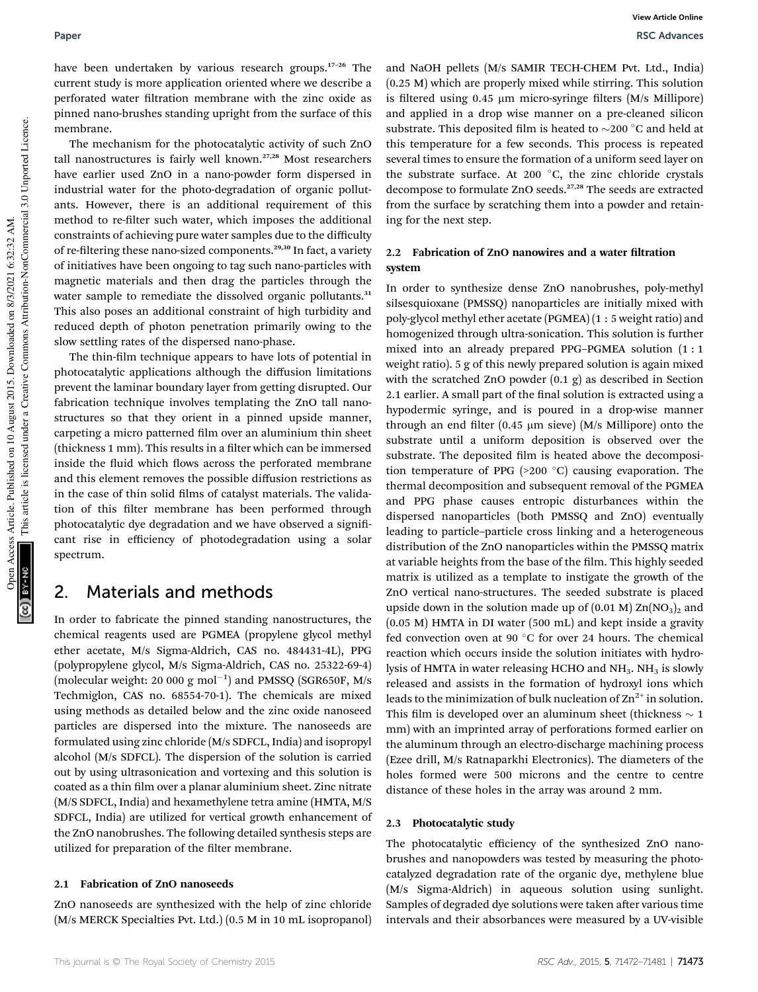have been undertaken by various research groups.<sup>17-26</sup> The current study is more application oriented where we describe a perforated water filtration membrane with the zinc oxide as pinned nano-brushes standing upright from the surface of this membrane.

The mechanism for the photocatalytic activity of such ZnO tall nanostructures is fairly well known.27,28 Most researchers have earlier used ZnO in a nano-powder form dispersed in industrial water for the photo-degradation of organic pollutants. However, there is an additional requirement of this method to re-filter such water, which imposes the additional constraints of achieving pure water samples due to the difficulty of re-filtering these nano-sized components.<sup>29,30</sup> In fact, a variety of initiatives have been ongoing to tag such nano-particles with magnetic materials and then drag the particles through the water sample to remediate the dissolved organic pollutants.<sup>31</sup> This also poses an additional constraint of high turbidity and reduced depth of photon penetration primarily owing to the slow settling rates of the dispersed nano-phase.

The thin-film technique appears to have lots of potential in photocatalytic applications although the diffusion limitations prevent the laminar boundary layer from getting disrupted. Our fabrication technique involves templating the ZnO tall nanostructures so that they orient in a pinned upside manner, carpeting a micro patterned film over an aluminium thin sheet (thickness 1 mm). This results in a filter which can be immersed inside the fluid which flows across the perforated membrane and this element removes the possible diffusion restrictions as in the case of thin solid films of catalyst materials. The validation of this filter membrane has been performed through photocatalytic dye degradation and we have observed a significant rise in efficiency of photodegradation using a solar spectrum.

## 2. Materials and methods

In order to fabricate the pinned standing nanostructures, the chemical reagents used are PGMEA (propylene glycol methyl ether acetate, M/s Sigma-Aldrich, CAS no. 484431-4L), PPG (polypropylene glycol, M/s Sigma-Aldrich, CAS no. 25322-69-4) (molecular weight: 20 000 g mol<sup>-1</sup>) and PMSSQ (SGR650F, M/s Techmiglon, CAS no. 68554-70-1). The chemicals are mixed using methods as detailed below and the zinc oxide nanoseed particles are dispersed into the mixture. The nanoseeds are formulated using zinc chloride (M/s SDFCL, India) and isopropyl alcohol (M/s SDFCL). The dispersion of the solution is carried out by using ultrasonication and vortexing and this solution is coated as a thin film over a planar aluminium sheet. Zinc nitrate (M/S SDFCL, India) and hexamethylene tetra amine (HMTA, M/S SDFCL, India) are utilized for vertical growth enhancement of the ZnO nanobrushes. The following detailed synthesis steps are utilized for preparation of the filter membrane.

#### 2.1 Fabrication of ZnO nanoseeds

ZnO nanoseeds are synthesized with the help of zinc chloride (M/s MERCK Specialties Pvt. Ltd.) (0.5 M in 10 mL isopropanol) and NaOH pellets (M/s SAMIR TECH-CHEM Pvt. Ltd., India) (0.25 M) which are properly mixed while stirring. This solution is filtered using 0.45  $\mu$ m micro-syringe filters (M/s Millipore) and applied in a drop wise manner on a pre-cleaned silicon substrate. This deposited film is heated to  $\sim$ 200 °C and held at this temperature for a few seconds. This process is repeated several times to ensure the formation of a uniform seed layer on the substrate surface. At 200  $^{\circ}$ C, the zinc chloride crystals decompose to formulate ZnO seeds.27,28 The seeds are extracted from the surface by scratching them into a powder and retaining for the next step.

## 2.2 Fabrication of ZnO nanowires and a water filtration system

In order to synthesize dense ZnO nanobrushes, poly-methyl silsesquioxane (PMSSQ) nanoparticles are initially mixed with poly-glycol methyl ether acetate (PGMEA) (1 : 5 weight ratio) and homogenized through ultra-sonication. This solution is further mixed into an already prepared PPG–PGMEA solution (1 : 1 weight ratio). 5 g of this newly prepared solution is again mixed with the scratched ZnO powder (0.1 g) as described in Section 2.1 earlier. A small part of the final solution is extracted using a hypodermic syringe, and is poured in a drop-wise manner through an end filter  $(0.45 \mu m \text{ s}$ ieve)  $(M/s \text{ Millipore})$  onto the substrate until a uniform deposition is observed over the substrate. The deposited film is heated above the decomposition temperature of PPG  $(>200 °C)$  causing evaporation. The thermal decomposition and subsequent removal of the PGMEA and PPG phase causes entropic disturbances within the dispersed nanoparticles (both PMSSQ and ZnO) eventually leading to particle–particle cross linking and a heterogeneous distribution of the ZnO nanoparticles within the PMSSQ matrix at variable heights from the base of the film. This highly seeded matrix is utilized as a template to instigate the growth of the ZnO vertical nano-structures. The seeded substrate is placed upside down in the solution made up of  $(0.01 \text{ M})$  Zn $(NO<sub>3</sub>)<sub>2</sub>$  and (0.05 M) HMTA in DI water (500 mL) and kept inside a gravity fed convection oven at 90  $^{\circ}$ C for over 24 hours. The chemical reaction which occurs inside the solution initiates with hydrolysis of HMTA in water releasing HCHO and NH<sub>3</sub>. NH<sub>3</sub> is slowly released and assists in the formation of hydroxyl ions which leads to the minimization of bulk nucleation of  $\text{Zn}^{2+}$  in solution. This film is developed over an aluminum sheet (thickness  $\sim$  1 mm) with an imprinted array of perforations formed earlier on the aluminum through an electro-discharge machining process (Ezee drill, M/s Ratnaparkhi Electronics). The diameters of the holes formed were 500 microns and the centre to centre distance of these holes in the array was around 2 mm.

#### 2.3 Photocatalytic study

The photocatalytic efficiency of the synthesized ZnO nanobrushes and nanopowders was tested by measuring the photocatalyzed degradation rate of the organic dye, methylene blue (M/s Sigma-Aldrich) in aqueous solution using sunlight. Samples of degraded dye solutions were taken after various time intervals and their absorbances were measured by a UV-visible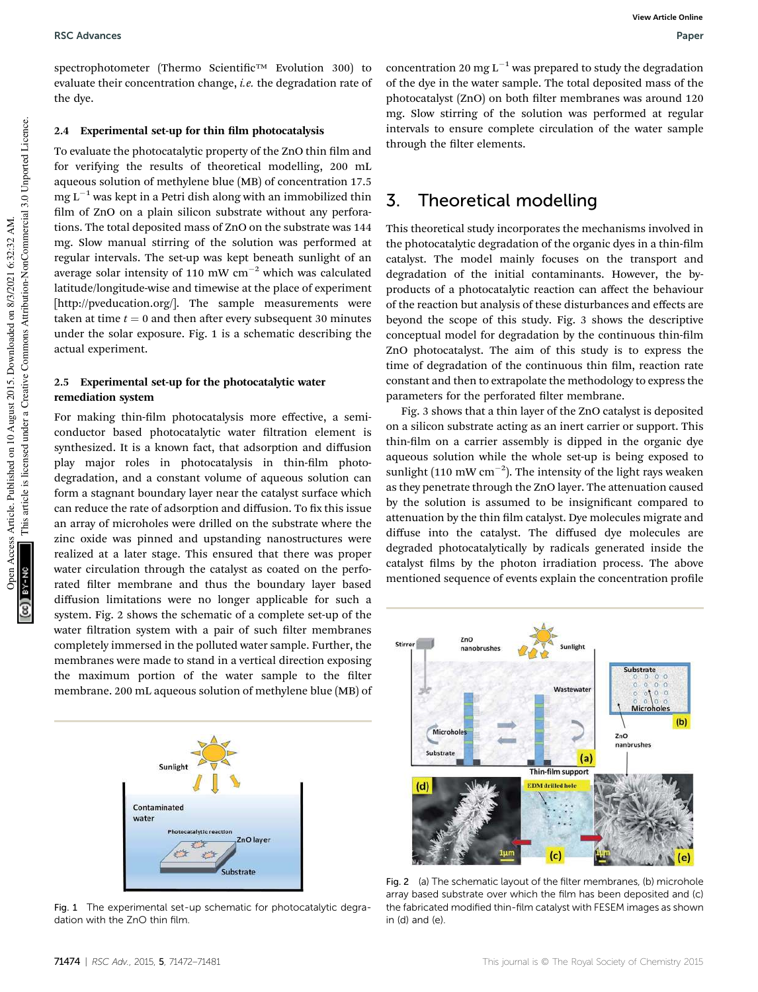#### RSC Advances **RSC Advances** Paper **RSC Advances** Paper **Paper Paper Paper Paper** Paper Paper Paper Paper Paper Paper Paper Paper Paper Paper Paper Paper Paper Paper Paper Paper Paper Paper Paper Paper Paper Paper Paper Pap

spectrophotometer (Thermo Scientific™ Evolution 300) to evaluate their concentration change, *i.e.* the degradation rate of the dye.

#### 2.4 Experimental set-up for thin film photocatalysis

To evaluate the photocatalytic property of the ZnO thin film and for verifying the results of theoretical modelling, 200 mL aqueous solution of methylene blue (MB) of concentration 17.5  $mg L^{-1}$  was kept in a Petri dish along with an immobilized thin film of ZnO on a plain silicon substrate without any perforations. The total deposited mass of ZnO on the substrate was 144 mg. Slow manual stirring of the solution was performed at regular intervals. The set-up was kept beneath sunlight of an average solar intensity of 110 mW  $cm^{-2}$  which was calculated latitude/longitude-wise and timewise at the place of experiment [http://pveducation.org/]. The sample measurements were taken at time  $t = 0$  and then after every subsequent 30 minutes under the solar exposure. Fig. 1 is a schematic describing the actual experiment.

#### 2.5 Experimental set-up for the photocatalytic water remediation system

For making thin-film photocatalysis more effective, a semiconductor based photocatalytic water filtration element is synthesized. It is a known fact, that adsorption and diffusion play major roles in photocatalysis in thin-film photodegradation, and a constant volume of aqueous solution can form a stagnant boundary layer near the catalyst surface which can reduce the rate of adsorption and diffusion. To fix this issue an array of microholes were drilled on the substrate where the zinc oxide was pinned and upstanding nanostructures were realized at a later stage. This ensured that there was proper water circulation through the catalyst as coated on the perforated filter membrane and thus the boundary layer based diffusion limitations were no longer applicable for such a system. Fig. 2 shows the schematic of a complete set-up of the water filtration system with a pair of such filter membranes completely immersed in the polluted water sample. Further, the membranes were made to stand in a vertical direction exposing the maximum portion of the water sample to the filter membrane. 200 mL aqueous solution of methylene blue (MB) of



Fig. 1 The experimental set-up schematic for photocatalytic degradation with the ZnO thin film.

concentration 20 mg  $L^{-1}$  was prepared to study the degradation of the dye in the water sample. The total deposited mass of the photocatalyst (ZnO) on both filter membranes was around 120 mg. Slow stirring of the solution was performed at regular intervals to ensure complete circulation of the water sample through the filter elements.

## 3. Theoretical modelling

This theoretical study incorporates the mechanisms involved in the photocatalytic degradation of the organic dyes in a thin-film catalyst. The model mainly focuses on the transport and degradation of the initial contaminants. However, the byproducts of a photocatalytic reaction can affect the behaviour of the reaction but analysis of these disturbances and effects are beyond the scope of this study. Fig. 3 shows the descriptive conceptual model for degradation by the continuous thin-film ZnO photocatalyst. The aim of this study is to express the time of degradation of the continuous thin film, reaction rate constant and then to extrapolate the methodology to express the parameters for the perforated filter membrane.

Fig. 3 shows that a thin layer of the ZnO catalyst is deposited on a silicon substrate acting as an inert carrier or support. This thin-film on a carrier assembly is dipped in the organic dye aqueous solution while the whole set-up is being exposed to sunlight (110 mW cm<sup>-2</sup>). The intensity of the light rays weaken as they penetrate through the ZnO layer. The attenuation caused by the solution is assumed to be insignificant compared to attenuation by the thin film catalyst. Dye molecules migrate and diffuse into the catalyst. The diffused dye molecules are degraded photocatalytically by radicals generated inside the catalyst films by the photon irradiation process. The above mentioned sequence of events explain the concentration profile



Fig. 2 (a) The schematic layout of the filter membranes, (b) microhole array based substrate over which the film has been deposited and (c) the fabricated modified thin-film catalyst with FESEM images as shown in  $(d)$  and  $(e)$ .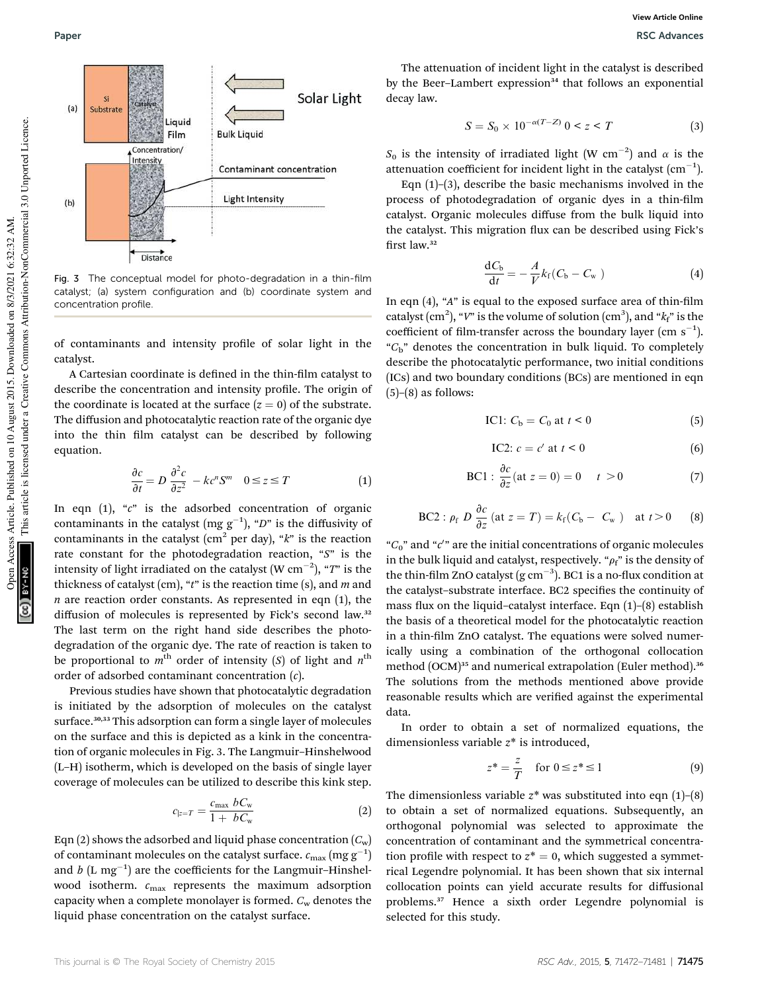

Fig. 3 The conceptual model for photo-degradation in a thin-film catalyst; (a) system configuration and (b) coordinate system and concentration profile.

of contaminants and intensity profile of solar light in the catalyst.

A Cartesian coordinate is defined in the thin-film catalyst to describe the concentration and intensity profile. The origin of the coordinate is located at the surface  $(z = 0)$  of the substrate. The diffusion and photocatalytic reaction rate of the organic dye into the thin film catalyst can be described by following equation.

$$
\frac{\partial c}{\partial t} = D \frac{\partial^2 c}{\partial z^2} - kc^n S^m \quad 0 \le z \le T \tag{1}
$$

In eqn (1), "*c*" is the adsorbed concentration of organic contaminants in the catalyst (mg  $g^{-1}$ ), "*D*" is the diffusivity of contaminants in the catalyst (cm<sup>2</sup> per day), "*k*" is the reaction rate constant for the photodegradation reaction, "*S*" is the intensity of light irradiated on the catalyst  $(\text{W cm}^{-2})$ , " $T$ " is the thickness of catalyst (cm), "*t*" is the reaction time (s), and *m* and  *are reaction order constants. As represented in eqn*  $(1)$ *, the* diffusion of molecules is represented by Fick's second law.<sup>32</sup> The last term on the right hand side describes the photodegradation of the organic dye. The rate of reaction is taken to be proportional to  $m^{\text{th}}$  order of intensity (*S*) of light and  $n^{\text{th}}$ order of adsorbed contaminant concentration (*c*).

Previous studies have shown that photocatalytic degradation is initiated by the adsorption of molecules on the catalyst surface.<sup>30,33</sup> This adsorption can form a single layer of molecules on the surface and this is depicted as a kink in the concentration of organic molecules in Fig. 3. The Langmuir–Hinshelwood (L–H) isotherm, which is developed on the basis of single layer coverage of molecules can be utilized to describe this kink step.

$$
c_{|z=T} = \frac{c_{\text{max}} b C_{\text{w}}}{1 + b C_{\text{w}}}
$$
 (2)

Eqn (2) shows the adsorbed and liquid phase concentration  $(C_w)$ of contaminant molecules on the catalyst surface.  $c_{\rm max}\,({\rm mg}\,{\rm g}^{-1})$ and  $b$  (L mg<sup>-1</sup>) are the coefficients for the Langmuir-Hinshelwood isotherm. *c*max represents the maximum adsorption capacity when a complete monolayer is formed. *C*<sup>w</sup> denotes the liquid phase concentration on the catalyst surface.

The attenuation of incident light in the catalyst is described by the Beer-Lambert expression<sup>34</sup> that follows an exponential decay law.

$$
S = S_0 \times 10^{-\alpha(T - Z)} \quad 0 < z < T \tag{3}
$$

 $S_0$  is the intensity of irradiated light (W cm<sup>-2</sup>) and  $\alpha$  is the attenuation coefficient for incident light in the catalyst  $\rm (cm^{-1}).$ 

Eqn  $(1)$ – $(3)$ , describe the basic mechanisms involved in the process of photodegradation of organic dyes in a thin-film catalyst. Organic molecules diffuse from the bulk liquid into the catalyst. This migration flux can be described using Fick's first law. $32$ 

$$
\frac{\mathrm{d}C_{\mathrm{b}}}{\mathrm{d}t} = -\frac{A}{V}k_{\mathrm{f}}(C_{\mathrm{b}} - C_{\mathrm{w}})
$$
\n(4)

In eqn  $(4)$ , " $A$ " is equal to the exposed surface area of thin-film catalyst  $(cm^2)$ , "*V*" is the volume of solution  $(cm^3)$ , and " $k_f$ " is the coefficient of film-transfer across the boundary layer (cm  $s^{-1}$ ). "*C*b" denotes the concentration in bulk liquid. To completely describe the photocatalytic performance, two initial conditions (ICs) and two boundary conditions (BCs) are mentioned in eqn  $(5)$ – $(8)$  as follows:

$$
IC1: Cb = C0 at  $t < 0$  (5)
$$

$$
\text{IC2: } c = c' \text{ at } t < 0 \tag{6}
$$

$$
\text{BC1}: \frac{\partial c}{\partial z}(\text{at } z = 0) = 0 \quad t > 0 \tag{7}
$$

BC2: 
$$
\rho_f
$$
  $D \frac{\partial c}{\partial z}$  (at  $z = T$ ) =  $k_f$ ( $C_b - C_w$ ) at  $t > 0$  (8)

"*C*0" and "*c* 0 " are the initial concentrations of organic molecules in the bulk liquid and catalyst, respectively. " $\rho_f$ " is the density of the thin-film ZnO catalyst (g  $cm^{-3}$ ). BC1 is a no-flux condition at the catalyst-substrate interface. BC2 specifies the continuity of mass flux on the liquid–catalyst interface. Eqn  $(1)$ – $(8)$  establish the basis of a theoretical model for the photocatalytic reaction in a thin-film ZnO catalyst. The equations were solved numerically using a combination of the orthogonal collocation method (OCM)<sup>35</sup> and numerical extrapolation (Euler method).<sup>36</sup> The solutions from the methods mentioned above provide reasonable results which are verified against the experimental data.

In order to obtain a set of normalized equations, the dimensionless variable *z*\* is introduced,

$$
z^* = \frac{z}{T} \quad \text{for } 0 \le z^* \le 1 \tag{9}
$$

The dimensionless variable  $z^*$  was substituted into eqn  $(1)$ – $(8)$ to obtain a set of normalized equations. Subsequently, an orthogonal polynomial was selected to approximate the concentration of contaminant and the symmetrical concentration profile with respect to  $z^* = 0$ , which suggested a symmetrical Legendre polynomial. It has been shown that six internal collocation points can yield accurate results for diffusional problems.<sup>37</sup> Hence a sixth order Legendre polynomial is selected for this study.

This article is licensed under a Creative Commons Attribution-NonCommercial 3.0 Unported Licence.

This article is licensed under a Creative Commons Attribution-NonCommercial 3.0 Unported Licence.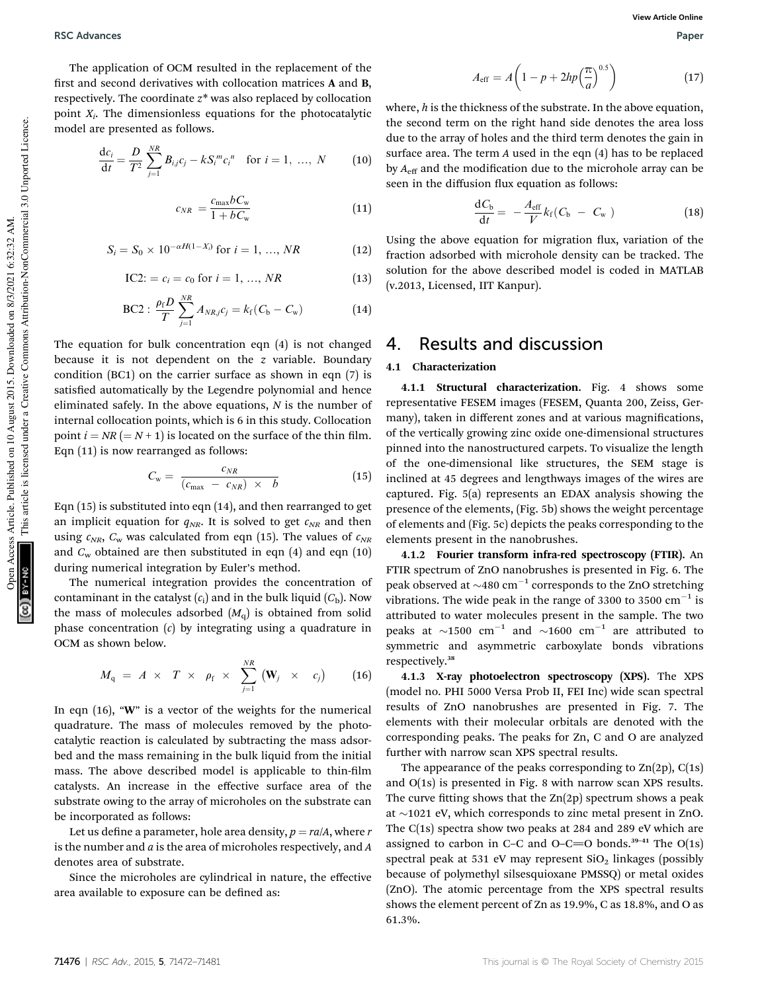RSC Advances **RSC Advances** Paper **RSC Advances** Paper **Paper Paper Paper Paper** Paper Paper Paper Paper Paper Paper Paper Paper Paper Paper Paper Paper Paper Paper Paper Paper Paper Paper Paper Paper Paper Paper Paper Pap

The application of OCM resulted in the replacement of the first and second derivatives with collocation matrices  $A$  and  $B$ , respectively. The coordinate *z*\* was also replaced by collocation point *X<sup>i</sup>* . The dimensionless equations for the photocatalytic model are presented as follows.

$$
\frac{dc_i}{dt} = \frac{D}{T^2} \sum_{j=1}^{NR} B_{i,j} c_j - k S_i^{m} c_i^{n} \quad \text{for } i = 1, ..., N \quad (10)
$$

$$
c_{NR} = \frac{c_{\text{max}}bC_{\text{w}}}{1 + bC_{\text{w}}} \tag{11}
$$

$$
S_i = S_0 \times 10^{-\alpha H(1-X_i)} \text{ for } i = 1, ..., NR \tag{12}
$$

$$
IC2: = c_i = c_0 \text{ for } i = 1, ..., NR
$$
 (13)

BC2: 
$$
\frac{\rho_f D}{T} \sum_{j=1}^{NR} A_{NRj} c_j = k_f (C_b - C_w)
$$
 (14)

The equation for bulk concentration eqn (4) is not changed because it is not dependent on the *z* variable. Boundary condition (BC1) on the carrier surface as shown in eqn (7) is satisfied automatically by the Legendre polynomial and hence eliminated safely. In the above equations, *N* is the number of internal collocation points, which is 6 in this study. Collocation point  $i = NR (= N + 1)$  is located on the surface of the thin film. Eqn (11) is now rearranged as follows:

$$
C_{\rm w} = \frac{c_{NR}}{(c_{\rm max} \ - \ c_{NR}) \times \ b} \tag{15}
$$

Eqn (15) is substituted into eqn (14), and then rearranged to get an implicit equation for  $q_{NR}$ . It is solved to get  $c_{NR}$  and then using  $c_{NR}$ ,  $C_{w}$  was calculated from eqn (15). The values of  $c_{NR}$ and  $C_w$  obtained are then substituted in eqn (4) and eqn (10) during numerical integration by Euler's method.

The numerical integration provides the concentration of contaminant in the catalyst  $(c_i)$  and in the bulk liquid  $(C_b)$ . Now the mass of molecules adsorbed  $(M_q)$  is obtained from solid phase concentration (*c*) by integrating using a quadrature in OCM as shown below.

$$
M_{\rm q} \,\,=\,\,A \,\,\times\,\,\,T \,\,\times\,\,\,\rho_{\rm f} \,\,\times\,\,\,\sum_{j=1}^{N\!R} \,\left({\bf W}_{j} \ \ \, \times\,\,\,\,\,c_{j}\right) \qquad \, (16)
$$

In eqn (16), "W" is a vector of the weights for the numerical quadrature. The mass of molecules removed by the photocatalytic reaction is calculated by subtracting the mass adsorbed and the mass remaining in the bulk liquid from the initial mass. The above described model is applicable to thin-film catalysts. An increase in the effective surface area of the substrate owing to the array of microholes on the substrate can be incorporated as follows:

Let us define a parameter, hole area density,  $p = ra/A$ , where *r* is the number and *a* is the area of microholes respectively, and *A* denotes area of substrate.

Since the microholes are cylindrical in nature, the effective area available to exposure can be defined as:

$$
A_{\rm eff} = A \left( 1 - p + 2hp \left( \frac{\pi}{a} \right)^{0.5} \right) \tag{17}
$$

where, *h* is the thickness of the substrate. In the above equation, the second term on the right hand side denotes the area loss due to the array of holes and the third term denotes the gain in surface area. The term *A* used in the eqn (4) has to be replaced by  $A_{\text{eff}}$  and the modification due to the microhole array can be seen in the diffusion flux equation as follows:

$$
\frac{\mathrm{d}C_{\mathrm{b}}}{\mathrm{d}t} = -\frac{A_{\mathrm{eff}}}{V}k_{\mathrm{f}}(C_{\mathrm{b}} - C_{\mathrm{w}})
$$
\n(18)

Using the above equation for migration flux, variation of the fraction adsorbed with microhole density can be tracked. The solution for the above described model is coded in MATLAB (v.2013, Licensed, IIT Kanpur).

## 4. Results and discussion

#### 4.1 Characterization

4.1.1 Structural characterization. Fig. 4 shows some representative FESEM images (FESEM, Quanta 200, Zeiss, Germany), taken in different zones and at various magnifications, of the vertically growing zinc oxide one-dimensional structures pinned into the nanostructured carpets. To visualize the length of the one-dimensional like structures, the SEM stage is inclined at 45 degrees and lengthways images of the wires are captured. Fig. 5(a) represents an EDAX analysis showing the presence of the elements, (Fig. 5b) shows the weight percentage of elements and (Fig. 5c) depicts the peaks corresponding to the elements present in the nanobrushes.

4.1.2 Fourier transform infra-red spectroscopy (FTIR). An FTIR spectrum of ZnO nanobrushes is presented in Fig. 6. The peak observed at  $\sim\!\!480$   ${\rm cm}^{-1}$  corresponds to the ZnO stretching vibrations. The wide peak in the range of 3300 to 3500  $\rm cm^{-1}$  is attributed to water molecules present in the sample. The two peaks at  $\sim$ 1500 cm<sup>-1</sup> and  $\sim$ 1600 cm<sup>-1</sup> are attributed to symmetric and asymmetric carboxylate bonds vibrations respectively.<sup>38</sup>

4.1.3 X-ray photoelectron spectroscopy (XPS). The XPS (model no. PHI 5000 Versa Prob II, FEI Inc) wide scan spectral results of ZnO nanobrushes are presented in Fig. 7. The elements with their molecular orbitals are denoted with the corresponding peaks. The peaks for Zn, C and O are analyzed further with narrow scan XPS spectral results.

The appearance of the peaks corresponding to  $Zn(2p)$ ,  $C(1s)$ and O(1s) is presented in Fig. 8 with narrow scan XPS results. The curve fitting shows that the  $\text{Zn}(2\text{p})$  spectrum shows a peak at  $\sim$ 1021 eV, which corresponds to zinc metal present in ZnO. The C(1s) spectra show two peaks at 284 and 289 eV which are assigned to carbon in C–C and O–C=O bonds. $39-41$  The O(1s) spectral peak at 531 eV may represent  $SiO<sub>2</sub>$  linkages (possibly because of polymethyl silsesquioxane PMSSQ) or metal oxides (ZnO). The atomic percentage from the XPS spectral results shows the element percent of Zn as 19.9%, C as 18.8%, and O as 61.3%.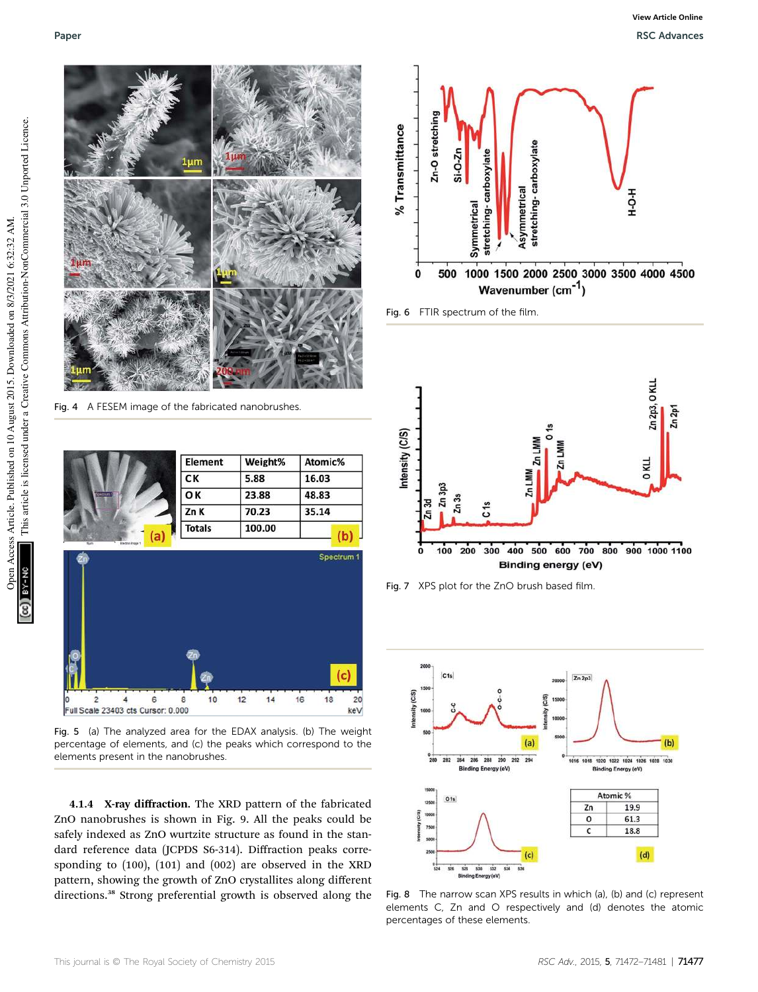

Fig. 4 A FESEM image of the fabricated nanobrushes.

| Element                 | Weight% | Atomic% |
|-------------------------|---------|---------|
| CK                      | 5.88    | 16.03   |
| <b>OK</b><br>Spectrum 1 | 23.88   | 48.83   |
| Zn K                    | 70.23   | 35.14   |
| <b>Totals</b>           | 100.00  |         |



Fig. 5 (a) The analyzed area for the EDAX analysis. (b) The weight percentage of elements, and (c) the peaks which correspond to the elements present in the nanobrushes.

4.1.4 X-ray diffraction. The XRD pattern of the fabricated ZnO nanobrushes is shown in Fig. 9. All the peaks could be safely indexed as ZnO wurtzite structure as found in the standard reference data (JCPDS S6-314). Diffraction peaks corresponding to (100), (101) and (002) are observed in the XRD pattern, showing the growth of ZnO crystallites along different directions.<sup>38</sup> Strong preferential growth is observed along the



Fig. 6 FTIR spectrum of the film.



Fig. 7 XPS plot for the ZnO brush based film.



Fig. 8 The narrow scan XPS results in which (a), (b) and (c) represent elements C, Zn and O respectively and (d) denotes the atomic percentages of these elements.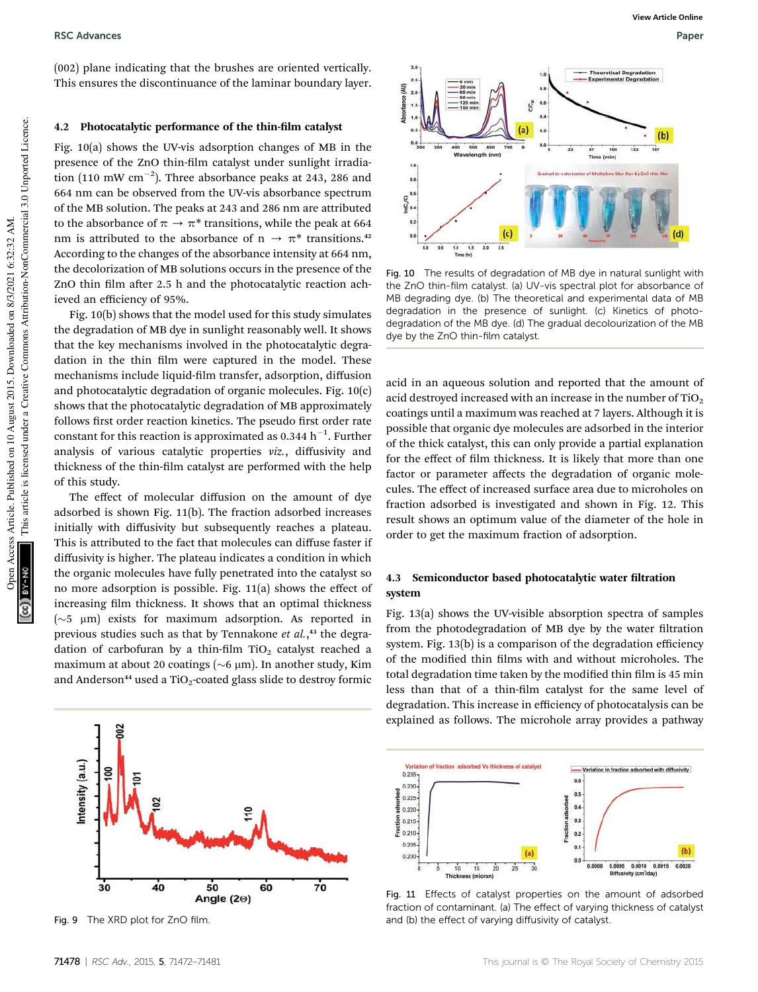RSC Advances **RSC Advances** Paper **RSC Advances** Paper **Paper Paper Paper Paper** Paper Paper Paper Paper Paper Paper Paper Paper Paper Paper Paper Paper Paper Paper Paper Paper Paper Paper Paper Paper Paper Paper Paper Pap

(002) plane indicating that the brushes are oriented vertically. This ensures the discontinuance of the laminar boundary layer.

### 4.2 Photocatalytic performance of the thin-film catalyst

Fig. 10(a) shows the UV-vis adsorption changes of MB in the presence of the ZnO thin-film catalyst under sunlight irradiation (110 mW  $\rm cm^{-2}$ ). Three absorbance peaks at 243, 286 and 664 nm can be observed from the UV-vis absorbance spectrum of the MB solution. The peaks at 243 and 286 nm are attributed to the absorbance of  $\pi \to \pi^*$  transitions, while the peak at 664 nm is attributed to the absorbance of  $n \to \pi^*$  transitions.<sup>42</sup> According to the changes of the absorbance intensity at 664 nm, the decolorization of MB solutions occurs in the presence of the ZnO thin film after 2.5 h and the photocatalytic reaction achieved an efficiency of 95%.

Fig. 10(b) shows that the model used for this study simulates the degradation of MB dye in sunlight reasonably well. It shows that the key mechanisms involved in the photocatalytic degradation in the thin film were captured in the model. These mechanisms include liquid-film transfer, adsorption, diffusion and photocatalytic degradation of organic molecules. Fig. 10(c) shows that the photocatalytic degradation of MB approximately follows first order reaction kinetics. The pseudo first order rate constant for this reaction is approximated as  $0.344\ h^{-1}$ . Further analysis of various catalytic properties *viz.*, diffusivity and thickness of the thin-film catalyst are performed with the help of this study.

The effect of molecular diffusion on the amount of dye adsorbed is shown Fig. 11(b). The fraction adsorbed increases initially with diffusivity but subsequently reaches a plateau. This is attributed to the fact that molecules can diffuse faster if diffusivity is higher. The plateau indicates a condition in which the organic molecules have fully penetrated into the catalyst so no more adsorption is possible. Fig. 11(a) shows the effect of increasing film thickness. It shows that an optimal thickness  $({\sim}5$  µm) exists for maximum adsorption. As reported in previous studies such as that by Tennakone *et al.*, <sup>43</sup> the degradation of carbofuran by a thin-film TiO<sub>2</sub> catalyst reached a maximum at about 20 coatings ( $\sim$ 6 µm). In another study, Kim and Anderson<sup>44</sup> used a TiO<sub>2</sub>-coated glass slide to destroy formic



Fig. 9 The XRD plot for ZnO film.



Fig. 10 The results of degradation of MB dye in natural sunlight with the ZnO thin-film catalyst. (a) UV-vis spectral plot for absorbance of MB degrading dye. (b) The theoretical and experimental data of MB degradation in the presence of sunlight. (c) Kinetics of photodegradation of the MB dye. (d) The gradual decolourization of the MB dye by the ZnO thin-film catalyst.

acid in an aqueous solution and reported that the amount of acid destroyed increased with an increase in the number of  $TiO<sub>2</sub>$ coatings until a maximum was reached at 7 layers. Although it is possible that organic dye molecules are adsorbed in the interior of the thick catalyst, this can only provide a partial explanation for the effect of film thickness. It is likely that more than one factor or parameter affects the degradation of organic molecules. The effect of increased surface area due to microholes on fraction adsorbed is investigated and shown in Fig. 12. This result shows an optimum value of the diameter of the hole in order to get the maximum fraction of adsorption.

## 4.3 Semiconductor based photocatalytic water filtration system

Fig. 13(a) shows the UV-visible absorption spectra of samples from the photodegradation of MB dye by the water filtration system. Fig. 13(b) is a comparison of the degradation efficiency of the modified thin films with and without microholes. The total degradation time taken by the modified thin film is 45 min less than that of a thin-film catalyst for the same level of degradation. This increase in efficiency of photocatalysis can be explained as follows. The microhole array provides a pathway



Fig. 11 Effects of catalyst properties on the amount of adsorbed fraction of contaminant. (a) The effect of varying thickness of catalyst and (b) the effect of varying diffusivity of catalyst.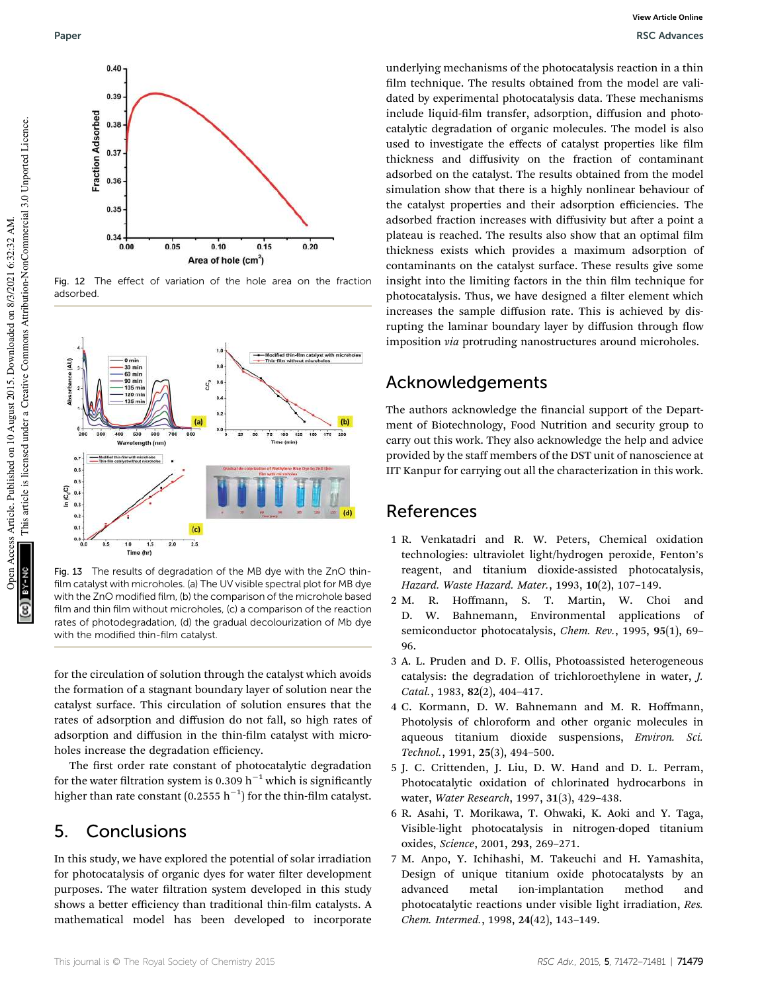

Fig. 12 The effect of variation of the hole area on the fraction adsorbed.



Fig. 13 The results of degradation of the MB dye with the ZnO thinfilm catalyst with microholes. (a) The UV visible spectral plot for MB dye with the ZnO modified film, (b) the comparison of the microhole based film and thin film without microholes, (c) a comparison of the reaction rates of photodegradation, (d) the gradual decolourization of Mb dye with the modified thin-film catalyst.

for the circulation of solution through the catalyst which avoids the formation of a stagnant boundary layer of solution near the catalyst surface. This circulation of solution ensures that the rates of adsorption and diffusion do not fall, so high rates of adsorption and diffusion in the thin-film catalyst with microholes increase the degradation efficiency.

The first order rate constant of photocatalytic degradation for the water filtration system is 0.309  $h^{-1}$  which is significantly higher than rate constant (0.2555  $\rm h^{-1})$  for the thin-film catalyst.

## 5. Conclusions

In this study, we have explored the potential of solar irradiation for photocatalysis of organic dyes for water filter development purposes. The water filtration system developed in this study shows a better efficiency than traditional thin-film catalysts. A mathematical model has been developed to incorporate

underlying mechanisms of the photocatalysis reaction in a thin film technique. The results obtained from the model are validated by experimental photocatalysis data. These mechanisms include liquid-film transfer, adsorption, diffusion and photocatalytic degradation of organic molecules. The model is also used to investigate the effects of catalyst properties like film thickness and diffusivity on the fraction of contaminant adsorbed on the catalyst. The results obtained from the model simulation show that there is a highly nonlinear behaviour of the catalyst properties and their adsorption efficiencies. The adsorbed fraction increases with diffusivity but after a point a plateau is reached. The results also show that an optimal film thickness exists which provides a maximum adsorption of contaminants on the catalyst surface. These results give some insight into the limiting factors in the thin film technique for photocatalysis. Thus, we have designed a filter element which increases the sample diffusion rate. This is achieved by disrupting the laminar boundary layer by diffusion through flow imposition *via* protruding nanostructures around microholes.

## Acknowledgements

The authors acknowledge the financial support of the Department of Biotechnology, Food Nutrition and security group to carry out this work. They also acknowledge the help and advice provided by the staff members of the DST unit of nanoscience at IIT Kanpur for carrying out all the characterization in this work.

## References

- 1 R. Venkatadri and R. W. Peters, Chemical oxidation technologies: ultraviolet light/hydrogen peroxide, Fenton's reagent, and titanium dioxide-assisted photocatalysis, *Hazard. Waste Hazard. Mater.*, 1993, 10(2), 107–149.
- 2 M. R. Hoffmann, S. T. Martin, W. Choi and D. W. Bahnemann, Environmental applications of semiconductor photocatalysis, *Chem. Rev.*, 1995, 95(1), 69– 96.
- 3 A. L. Pruden and D. F. Ollis, Photoassisted heterogeneous catalysis: the degradation of trichloroethylene in water, *J. Catal.*, 1983, 82(2), 404–417.
- 4 C. Kormann, D. W. Bahnemann and M. R. Hoffmann, Photolysis of chloroform and other organic molecules in aqueous titanium dioxide suspensions, *Environ. Sci. Technol.*, 1991, 25(3), 494–500.
- 5 J. C. Crittenden, J. Liu, D. W. Hand and D. L. Perram, Photocatalytic oxidation of chlorinated hydrocarbons in water, *Water Research*, 1997, 31(3), 429–438.
- 6 R. Asahi, T. Morikawa, T. Ohwaki, K. Aoki and Y. Taga, Visible-light photocatalysis in nitrogen-doped titanium oxides, *Science*, 2001, 293, 269–271.
- 7 M. Anpo, Y. Ichihashi, M. Takeuchi and H. Yamashita, Design of unique titanium oxide photocatalysts by an advanced metal ion-implantation method and photocatalytic reactions under visible light irradiation, *Res. Chem. Intermed.*, 1998, 24(42), 143–149.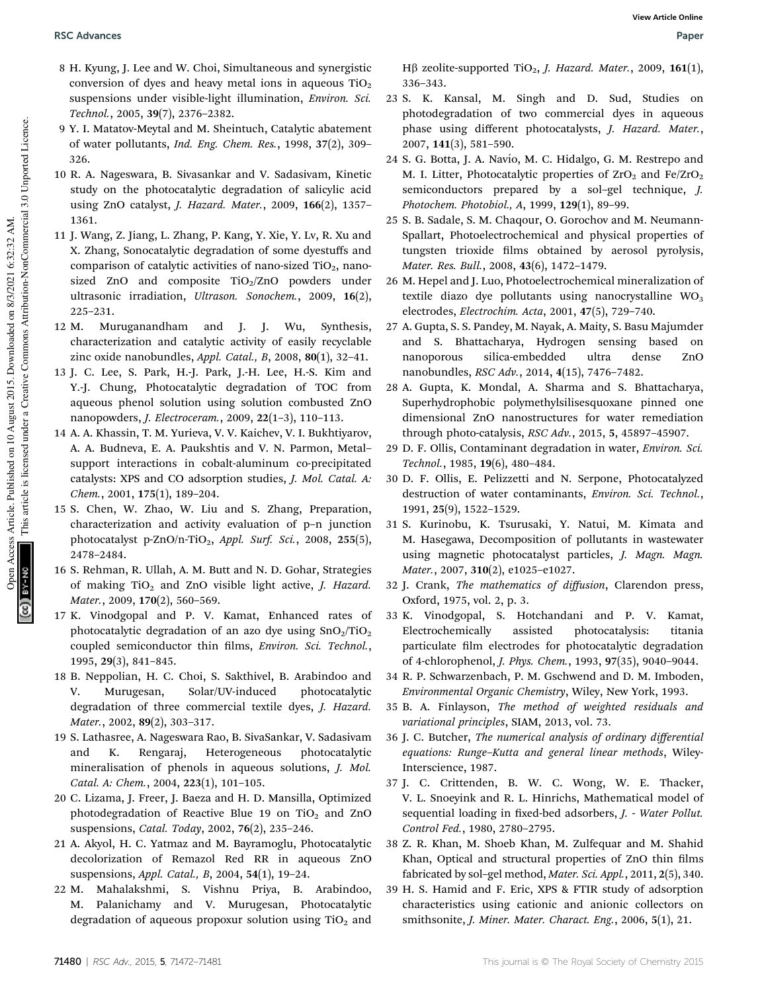- 8 H. Kyung, J. Lee and W. Choi, Simultaneous and synergistic conversion of dyes and heavy metal ions in aqueous  $TiO<sub>2</sub>$ suspensions under visible-light illumination, *Environ. Sci. Technol.*, 2005, 39(7), 2376–2382.
- 9 Y. I. Matatov-Meytal and M. Sheintuch, Catalytic abatement of water pollutants, *Ind. Eng. Chem. Res.*, 1998, 37(2), 309– 326.
- 10 R. A. Nageswara, B. Sivasankar and V. Sadasivam, Kinetic study on the photocatalytic degradation of salicylic acid using ZnO catalyst, *J. Hazard. Mater.*, 2009, 166(2), 1357– 1361.
- 11 J. Wang, Z. Jiang, L. Zhang, P. Kang, Y. Xie, Y. Lv, R. Xu and X. Zhang, Sonocatalytic degradation of some dyestuffs and comparison of catalytic activities of nano-sized  $TiO<sub>2</sub>$ , nanosized ZnO and composite  $TiO<sub>2</sub>/ZnO$  powders under ultrasonic irradiation, *Ultrason. Sonochem.*, 2009, 16(2), 225–231.
- 12 M. Muruganandham and J. J. Wu, Synthesis, characterization and catalytic activity of easily recyclable zinc oxide nanobundles, *Appl. Catal., B*, 2008, 80(1), 32–41.
- 13 J. C. Lee, S. Park, H.-J. Park, J.-H. Lee, H.-S. Kim and Y.-J. Chung, Photocatalytic degradation of TOC from aqueous phenol solution using solution combusted ZnO nanopowders, *J. Electroceram.*, 2009, 22(1–3), 110–113.
- 14 A. A. Khassin, T. M. Yurieva, V. V. Kaichev, V. I. Bukhtiyarov, A. A. Budneva, E. A. Paukshtis and V. N. Parmon, Metal– support interactions in cobalt-aluminum co-precipitated catalysts: XPS and CO adsorption studies, *J. Mol. Catal. A: Chem.*, 2001, 175(1), 189–204.
- 15 S. Chen, W. Zhao, W. Liu and S. Zhang, Preparation, characterization and activity evaluation of p–n junction photocatalyst p-ZnO/n-TiO<sub>2</sub>, Appl. Surf. Sci., 2008, 255(5), 2478–2484.
- 16 S. Rehman, R. Ullah, A. M. Butt and N. D. Gohar, Strategies of making TiO<sub>2</sub> and ZnO visible light active, *J. Hazard. Mater.*, 2009, 170(2), 560–569.
- 17 K. Vinodgopal and P. V. Kamat, Enhanced rates of photocatalytic degradation of an azo dye using  $SnO<sub>2</sub>/TiO<sub>2</sub>$ coupled semiconductor thin films, *Environ. Sci. Technol.*, 1995, 29(3), 841–845.
- 18 B. Neppolian, H. C. Choi, S. Sakthivel, B. Arabindoo and V. Murugesan, Solar/UV-induced photocatalytic degradation of three commercial textile dyes, *J. Hazard. Mater.*, 2002, 89(2), 303–317.
- 19 S. Lathasree, A. Nageswara Rao, B. SivaSankar, V. Sadasivam and K. Rengaraj, Heterogeneous photocatalytic mineralisation of phenols in aqueous solutions, *J. Mol. Catal. A: Chem.*, 2004, 223(1), 101–105.
- 20 C. Lizama, J. Freer, J. Baeza and H. D. Mansilla, Optimized photodegradation of Reactive Blue 19 on  $TiO<sub>2</sub>$  and ZnO suspensions, *Catal. Today*, 2002, 76(2), 235–246.
- 21 A. Akyol, H. C. Yatmaz and M. Bayramoglu, Photocatalytic decolorization of Remazol Red RR in aqueous ZnO suspensions, *Appl. Catal., B*, 2004, 54(1), 19–24.
- 22 M. Mahalakshmi, S. Vishnu Priya, B. Arabindoo, M. Palanichamy and V. Murugesan, Photocatalytic degradation of aqueous propoxur solution using  $TiO<sub>2</sub>$  and

Hβ zeolite-supported TiO<sub>2</sub>, *J. Hazard. Mater.*, 2009, 161(1), 336–343.

- 23 S. K. Kansal, M. Singh and D. Sud, Studies on photodegradation of two commercial dyes in aqueous phase using different photocatalysts, *J. Hazard. Mater.*, 2007, 141(3), 581–590.
- 24 S. G. Botta, J. A. Navío, M. C. Hidalgo, G. M. Restrepo and M. I. Litter, Photocatalytic properties of  $ZrO<sub>2</sub>$  and Fe/ZrO<sub>2</sub> semiconductors prepared by a sol–gel technique, *J. Photochem. Photobiol., A*, 1999, 129(1), 89–99.
- 25 S. B. Sadale, S. M. Chaqour, O. Gorochov and M. Neumann-Spallart, Photoelectrochemical and physical properties of tungsten trioxide films obtained by aerosol pyrolysis, *Mater. Res. Bull.*, 2008, 43(6), 1472–1479.
- 26 M. Hepel and J. Luo, Photoelectrochemical mineralization of textile diazo dye pollutants using nanocrystalline  $WO<sub>3</sub>$ electrodes, *Electrochim. Acta*, 2001, 47(5), 729–740.
- 27 A. Gupta, S. S. Pandey, M. Nayak, A. Maity, S. Basu Majumder and S. Bhattacharya, Hydrogen sensing based on nanoporous silica-embedded ultra dense ZnO nanobundles, *RSC Adv.*, 2014, 4(15), 7476–7482.
- 28 A. Gupta, K. Mondal, A. Sharma and S. Bhattacharya, Superhydrophobic polymethylsilisesquoxane pinned one dimensional ZnO nanostructures for water remediation through photo-catalysis, *RSC Adv.*, 2015, 5, 45897–45907.
- 29 D. F. Ollis, Contaminant degradation in water, *Environ. Sci. Technol.*, 1985, 19(6), 480–484.
- 30 D. F. Ollis, E. Pelizzetti and N. Serpone, Photocatalyzed destruction of water contaminants, *Environ. Sci. Technol.*, 1991, 25(9), 1522–1529.
- 31 S. Kurinobu, K. Tsurusaki, Y. Natui, M. Kimata and M. Hasegawa, Decomposition of pollutants in wastewater using magnetic photocatalyst particles, *J. Magn. Magn. Mater.*, 2007, 310(2), e1025–e1027.
- 32 J. Crank, *The mathematics of di*ff*usion*, Clarendon press, Oxford, 1975, vol. 2, p. 3.
- 33 K. Vinodgopal, S. Hotchandani and P. V. Kamat, Electrochemically assisted photocatalysis: titania particulate film electrodes for photocatalytic degradation of 4-chlorophenol, *J. Phys. Chem.*, 1993, 97(35), 9040–9044.
- 34 R. P. Schwarzenbach, P. M. Gschwend and D. M. Imboden, *Environmental Organic Chemistry*, Wiley, New York, 1993.
- 35 B. A. Finlayson, *The method of weighted residuals and variational principles*, SIAM, 2013, vol. 73.
- 36 J. C. Butcher, *The numerical analysis of ordinary di*ff*erential equations: Runge*–*Kutta and general linear methods*, Wiley-Interscience, 1987.
- 37 J. C. Crittenden, B. W. C. Wong, W. E. Thacker, V. L. Snoeyink and R. L. Hinrichs, Mathematical model of sequential loading in fixed-bed adsorbers, *J. - Water Pollut. Control Fed.*, 1980, 2780–2795.
- 38 Z. R. Khan, M. Shoeb Khan, M. Zulfequar and M. Shahid Khan, Optical and structural properties of ZnO thin films fabricated by sol–gel method, *Mater. Sci. Appl.*, 2011, 2(5), 340.
- 39 H. S. Hamid and F. Eric, XPS & FTIR study of adsorption characteristics using cationic and anionic collectors on smithsonite, *J. Miner. Mater. Charact. Eng.*, 2006, 5(1), 21.